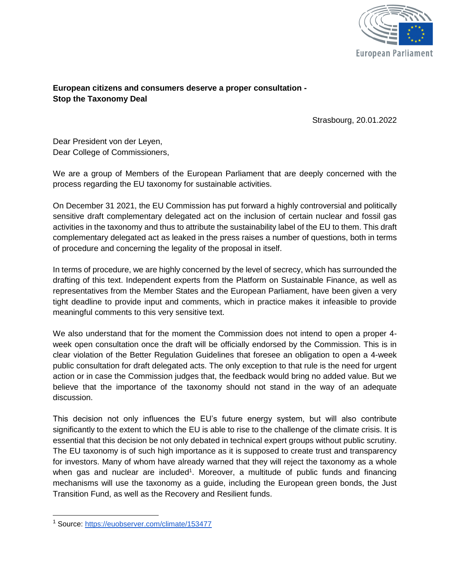

## **European citizens and consumers deserve a proper consultation - Stop the Taxonomy Deal**

Strasbourg, 20.01.2022

Dear President von der Leyen, Dear College of Commissioners,

We are a group of Members of the European Parliament that are deeply concerned with the process regarding the EU taxonomy for sustainable activities.

On December 31 2021, the EU Commission has put forward a highly controversial and politically sensitive draft complementary delegated act on the inclusion of certain nuclear and fossil gas activities in the taxonomy and thus to attribute the sustainability label of the EU to them. This draft complementary delegated act as leaked in the press raises a number of questions, both in terms of procedure and concerning the legality of the proposal in itself.

In terms of procedure, we are highly concerned by the level of secrecy, which has surrounded the drafting of this text. Independent experts from the Platform on Sustainable Finance, as well as representatives from the Member States and the European Parliament, have been given a very tight deadline to provide input and comments, which in practice makes it infeasible to provide meaningful comments to this very sensitive text.

We also understand that for the moment the Commission does not intend to open a proper 4 week open consultation once the draft will be officially endorsed by the Commission. This is in clear violation of the Better Regulation Guidelines that foresee an obligation to open a 4-week public consultation for draft delegated acts. The only exception to that rule is the need for urgent action or in case the Commission judges that, the feedback would bring no added value. But we believe that the importance of the taxonomy should not stand in the way of an adequate discussion.

This decision not only influences the EU's future energy system, but will also contribute significantly to the extent to which the EU is able to rise to the challenge of the climate crisis. It is essential that this decision be not only debated in technical expert groups without public scrutiny. The EU taxonomy is of such high importance as it is supposed to create trust and transparency for investors. Many of whom have already warned that they will reject the taxonomy as a whole when gas and nuclear are included<sup>1</sup>. Moreover, a multitude of public funds and financing mechanisms will use the taxonomy as a guide, including the European green bonds, the Just Transition Fund, as well as the Recovery and Resilient funds.

<sup>1</sup> Source:<https://euobserver.com/climate/153477>